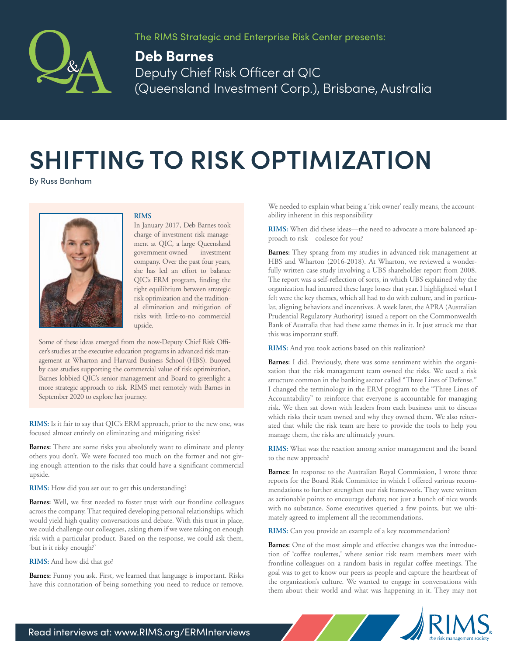

The RIMS Strategic and Enterprise Risk Center presents:

## **Deb Barnes** Deputy Chief Risk Officer at QIC (Queensland Investment Corp.), Brisbane, Australia

## **SHIFTING TO RISK OPTIMIZATION**

By Russ Banham



## **RIMS**

In January 2017, Deb Barnes took charge of investment risk management at QIC, a large Queensland government-owned investment company. Over the past four years, she has led an effort to balance QIC's ERM program, finding the right equilibrium between strategic risk optimization and the traditional elimination and mitigation of risks with little-to-no commercial upside.

Some of these ideas emerged from the now-Deputy Chief Risk Officer's studies at the executive education programs in advanced risk management at Wharton and Harvard Business School (HBS). Buoyed by case studies supporting the commercial value of risk optimization, Barnes lobbied QIC's senior management and Board to greenlight a more strategic approach to risk. RIMS met remotely with Barnes in September 2020 to explore her journey.

**RIMS:** Is it fair to say that QIC's ERM approach, prior to the new one, was focused almost entirely on eliminating and mitigating risks?

**Barnes:** There are some risks you absolutely want to eliminate and plenty others you don't. We were focused too much on the former and not giving enough attention to the risks that could have a significant commercial upside.

**RIMS:** How did you set out to get this understanding?

**Barnes:** Well, we first needed to foster trust with our frontline colleagues across the company. That required developing personal relationships, which would yield high quality conversations and debate. With this trust in place, we could challenge our colleagues, asking them if we were taking on enough risk with a particular product. Based on the response, we could ask them, 'but is it risky enough?'

## **RIMS:** And how did that go?

**Barnes:** Funny you ask. First, we learned that language is important. Risks have this connotation of being something you need to reduce or remove. We needed to explain what being a 'risk owner' really means, the accountability inherent in this responsibility

**RIMS:** When did these ideas—the need to advocate a more balanced approach to risk—coalesce for you?

**Barnes:** They sprang from my studies in advanced risk management at HBS and Wharton (2016-2018). At Wharton, we reviewed a wonderfully written case study involving a UBS shareholder report from 2008. The report was a self-reflection of sorts, in which UBS explained why the organization had incurred these large losses that year. I highlighted what I felt were the key themes, which all had to do with culture, and in particular, aligning behaviors and incentives. A week later, the APRA (Australian Prudential Regulatory Authority) issued a report on the Commonwealth Bank of Australia that had these same themes in it. It just struck me that this was important stuff.

**RIMS:** And you took actions based on this realization?

**Barnes:** I did. Previously, there was some sentiment within the organization that the risk management team owned the risks. We used a risk structure common in the banking sector called "Three Lines of Defense." I changed the terminology in the ERM program to the "Three Lines of Accountability" to reinforce that everyone is accountable for managing risk. We then sat down with leaders from each business unit to discuss which risks their team owned and why they owned them. We also reiterated that while the risk team are here to provide the tools to help you manage them, the risks are ultimately yours.

**RIMS:** What was the reaction among senior management and the board to the new approach?

**Barnes:** In response to the Australian Royal Commission, I wrote three reports for the Board Risk Committee in which I offered various recommendations to further strengthen our risk framework. They were written as actionable points to encourage debate; not just a bunch of nice words with no substance. Some executives queried a few points, but we ultimately agreed to implement all the recommendations.

**RIMS:** Can you provide an example of a key recommendation?

**Barnes:** One of the most simple and effective changes was the introduction of 'coffee roulettes,' where senior risk team members meet with frontline colleagues on a random basis in regular coffee meetings. The goal was to get to know our peers as people and capture the heartbeat of the organization's culture. We wanted to engage in conversations with them about their world and what was happening in it. They may not